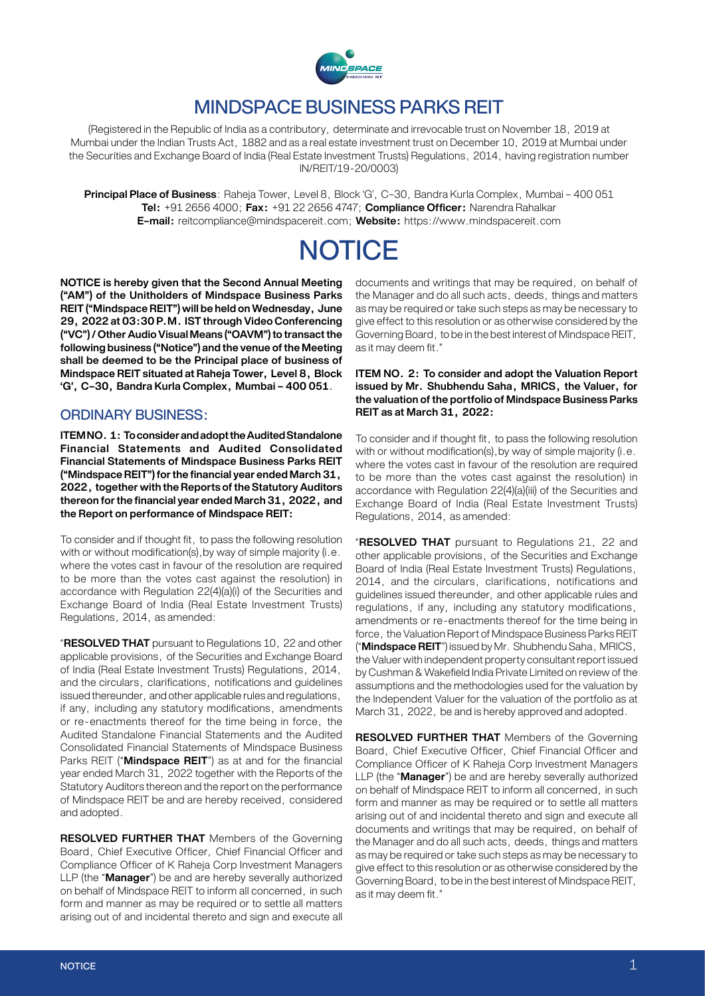

## MINDSPACE BUSINESS PARKS REIT

(Registered in the Republic of India as a contributory, determinate and irrevocable trust on November 18, 2019 at Mumbai under the Indian Trusts Act, 1882 and as a real estate investment trust on December 10, 2019 at Mumbai under the Securities and Exchange Board of India (Real Estate Investment Trusts) Regulations, 2014, having registration number IN/REIT/19‑20/0003)

**Principal Place of Business**: Raheja Tower, Level 8, Block 'G', C–30, Bandra Kurla Complex, Mumbai – 400 051 **Tel:** +91 2656 4000; **Fax:** +91 22 2656 4747; **Compliance Officer:** Narendra Rahalkar **E–mail:** [reitcompliance@mindspacereit.com](mailto:reitcompliance@mindspacereit.com); **Website:** <https://www.mindspacereit.com>

# **NOTICE**

**NOTICE is hereby given that the Second Annual Meeting ("AM") of the Unitholders of Mindspace Business Parks REIT ("Mindspace REIT") will be held on Wednesday, June 29, 2022 at 03:30 P.M. IST through Video Conferencing ("VC") / Other Audio Visual Means ("OAVM") to transact the following business ("Notice") and the venue of the Meeting shall be deemed to be the Principal place of business of Mindspace REIT situated at Raheja Tower, Level 8, Block 'G', C–30, Bandra Kurla Complex, Mumbai – 400 051**.

## ORDINARY BUSINESS:

**ITEM NO. 1: To consider and adopt the Audited Standalone Financial Statements and Audited Consolidated Financial Statements of Mindspace Business Parks REIT ("Mindspace REIT") for the financial year ended March 31, 2022, together with the Reports of the Statutory Auditors thereon for the financial year ended March 31, 2022, and the Report on performance of Mindspace REIT:**

To consider and if thought fit, to pass the following resolution with or without modification(s), by way of simple majority (i.e. where the votes cast in favour of the resolution are required to be more than the votes cast against the resolution) in accordance with Regulation 22(4)(a)(i) of the Securities and Exchange Board of India (Real Estate Investment Trusts) Regulations, 2014, as amended:

"**RESOLVED THAT** pursuant to Regulations 10, 22 and other applicable provisions, of the Securities and Exchange Board of India (Real Estate Investment Trusts) Regulations, 2014, and the circulars, clarifications, notifications and guidelines issued thereunder, and other applicable rules and regulations, if any, including any statutory modifications, amendments or re-enactments thereof for the time being in force, the Audited Standalone Financial Statements and the Audited Consolidated Financial Statements of Mindspace Business Parks REIT ("**Mindspace REIT**") as at and for the financial year ended March 31, 2022 together with the Reports of the Statutory Auditors thereon and the report on the performance of Mindspace REIT be and are hereby received, considered and adopted.

**RESOLVED FURTHER THAT** Members of the Governing Board, Chief Executive Officer, Chief Financial Officer and Compliance Officer of K Raheja Corp Investment Managers LLP (the "**Manager**") be and are hereby severally authorized on behalf of Mindspace REIT to inform all concerned, in such form and manner as may be required or to settle all matters arising out of and incidental thereto and sign and execute all

documents and writings that may be required, on behalf of the Manager and do all such acts, deeds, things and matters as may be required or take such steps as may be necessary to give effect to this resolution or as otherwise considered by the Governing Board, to be in the best interest of Mindspace REIT, as it may deem fit."

#### **ITEM NO. 2: To consider and adopt the Valuation Report issued by Mr. Shubhendu Saha, MRICS, the Valuer, for the valuation of the portfolio of Mindspace Business Parks REIT as at March 31, 2022:**

To consider and if thought fit, to pass the following resolution with or without modification(s), by way of simple majority (i.e. where the votes cast in favour of the resolution are required to be more than the votes cast against the resolution) in accordance with Regulation 22(4)(a)(iii) of the Securities and Exchange Board of India (Real Estate Investment Trusts) Regulations, 2014, as amended:

"**RESOLVED THAT** pursuant to Regulations 21, 22 and other applicable provisions, of the Securities and Exchange Board of India (Real Estate Investment Trusts) Regulations, 2014, and the circulars, clarifications, notifications and guidelines issued thereunder, and other applicable rules and regulations, if any, including any statutory modifications, amendments or re-enactments thereof for the time being in force, the Valuation Report of Mindspace Business Parks REIT ("**Mindspace REIT**") issued by Mr. Shubhendu Saha, MRICS, the Valuer with independent property consultant report issued by Cushman & Wakefield India Private Limited on review of the assumptions and the methodologies used for the valuation by the Independent Valuer for the valuation of the portfolio as at March 31, 2022, be and is hereby approved and adopted.

**RESOLVED FURTHER THAT** Members of the Governing Board, Chief Executive Officer, Chief Financial Officer and Compliance Officer of K Raheja Corp Investment Managers LLP (the "**Manager**") be and are hereby severally authorized on behalf of Mindspace REIT to inform all concerned, in such form and manner as may be required or to settle all matters arising out of and incidental thereto and sign and execute all documents and writings that may be required, on behalf of the Manager and do all such acts, deeds, things and matters as may be required or take such steps as may be necessary to give effect to this resolution or as otherwise considered by the Governing Board, to be in the best interest of Mindspace REIT, as it may deem fit."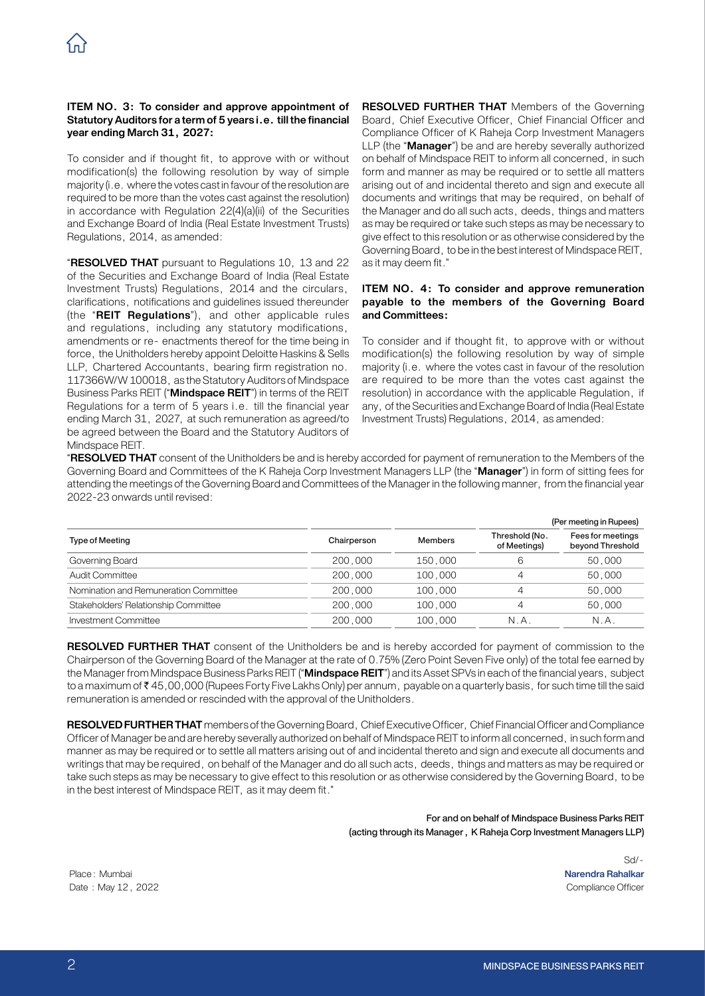#### **ITEM NO. 3: To consider and approve appointment of Statutory Auditors for a term of 5 years i.e. till the financial year ending March 31, 2027:**

To consider and if thought fit, to approve with or without modification(s) the following resolution by way of simple majority (i.e. where the votes cast in favour of the resolution are required to be more than the votes cast against the resolution) in accordance with Regulation 22(4)(a)(ii) of the Securities and Exchange Board of India (Real Estate Investment Trusts) Regulations, 2014, as amended:

"**RESOLVED THAT** pursuant to Regulations 10, 13 and 22 of the Securities and Exchange Board of India (Real Estate Investment Trusts) Regulations, 2014 and the circulars, clarifications, notifications and guidelines issued thereunder (the "**REIT Regulations**"), and other applicable rules and regulations, including any statutory modifications, amendments or re‑ enactments thereof for the time being in force, the Unitholders hereby appoint Deloitte Haskins & Sells LLP, Chartered Accountants, bearing firm registration no. 117366W/W 100018, as the Statutory Auditors of Mindspace Business Parks REIT ("**Mindspace REIT**") in terms of the REIT Regulations for a term of 5 years i.e. till the financial year ending March 31, 2027, at such remuneration as agreed/to be agreed between the Board and the Statutory Auditors of Mindspace REIT.

**RESOLVED FURTHER THAT** Members of the Governing Board, Chief Executive Officer, Chief Financial Officer and Compliance Officer of K Raheja Corp Investment Managers LLP (the "**Manager**") be and are hereby severally authorized on behalf of Mindspace REIT to inform all concerned, in such form and manner as may be required or to settle all matters arising out of and incidental thereto and sign and execute all documents and writings that may be required, on behalf of the Manager and do all such acts, deeds, things and matters as may be required or take such steps as may be necessary to give effect to this resolution or as otherwise considered by the Governing Board, to be in the best interest of Mindspace REIT, as it may deem fit."

#### **ITEM NO. 4: To consider and approve remuneration payable to the members of the Governing Board and Committees:**

To consider and if thought fit, to approve with or without modification(s) the following resolution by way of simple majority (i.e. where the votes cast in favour of the resolution are required to be more than the votes cast against the resolution) in accordance with the applicable Regulation, if any, of the Securities and Exchange Board of India (Real Estate Investment Trusts) Regulations, 2014, as amended:

"**RESOLVED THAT** consent of the Unitholders be and is hereby accorded for payment of remuneration to the Members of the Governing Board and Committees of the K Raheja Corp Investment Managers LLP (the "**Manager**") in form of sitting fees for attending the meetings of the Governing Board and Committees of the Manager in the following manner, from the financial year 2022-23 onwards until revised:

|                                       |             |         | (Per meeting in Rupees)        |                                       |
|---------------------------------------|-------------|---------|--------------------------------|---------------------------------------|
| <b>Type of Meeting</b>                | Chairperson | Members | Threshold (No.<br>of Meetings) | Fees for meetings<br>beyond Threshold |
| Governing Board                       | 200,000     | 150,000 | 6                              | 50,000                                |
| Audit Committee                       | 200,000     | 100,000 | 4                              | 50,000                                |
| Nomination and Remuneration Committee | 200,000     | 100,000 | $\overline{4}$                 | 50,000                                |
| Stakeholders' Relationship Committee  | 200,000     | 100,000 | $\overline{\mathcal{A}}$       | 50,000                                |
| Investment Committee                  | 200,000     | 100,000 | N.A                            | N.A.                                  |

**RESOLVED FURTHER THAT** consent of the Unitholders be and is hereby accorded for payment of commission to the Chairperson of the Governing Board of the Manager at the rate of 0.75% (Zero Point Seven Five only) of the total fee earned by the Manager from Mindspace Business Parks REIT ("**Mindspace REIT**") and its Asset SPVs in each of the financial years, subject to a maximum of ₹45,00,000 (Rupees Forty Five Lakhs Only) per annum, payable on a quarterly basis, for such time till the said remuneration is amended or rescinded with the approval of the Unitholders.

**RESOLVED FURTHER THAT** members of the Governing Board, Chief Executive Officer, Chief Financial Officer and Compliance Officer of Manager be and are hereby severally authorized on behalf of Mindspace REIT to inform all concerned, in such form and manner as may be required or to settle all matters arising out of and incidental thereto and sign and execute all documents and writings that may be required, on behalf of the Manager and do all such acts, deeds, things and matters as may be required or take such steps as may be necessary to give effect to this resolution or as otherwise considered by the Governing Board, to be in the best interest of Mindspace REIT, as it may deem fit."

#### For and on behalf of Mindspace Business Parks REIT (acting through its Manager, K Raheja Corp Investment Managers LLP)

Place: Mumbai **Narendra Rahalkar** Date : May 12, 2022 Compliance Officer

Sd/-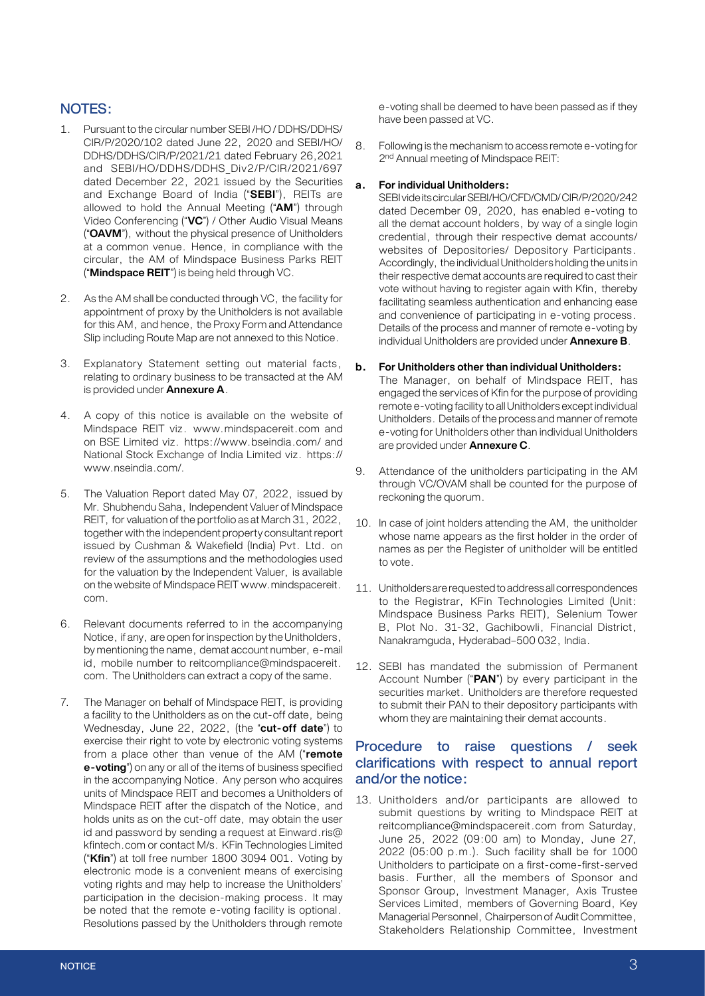## NOTES:

- 1. Pursuant to the circular number SEBI /HO / DDHS/DDHS/ CIR/P/2020/102 dated June 22, 2020 and SEBI/HO/ DDHS/DDHS/CIR/P/2021/21 dated February 26,2021 and SEBI/HO/DDHS/DDHS Div2/P/CIR/2021/697 dated December 22, 2021 issued by the Securities and Exchange Board of India ("**SEBI**"), REITs are allowed to hold the Annual Meeting ("**AM**") through Video Conferencing ("**VC**") / Other Audio Visual Means ("**OAVM**"), without the physical presence of Unitholders at a common venue. Hence, in compliance with the circular, the AM of Mindspace Business Parks REIT ("**Mindspace REIT**") is being held through VC.
- 2. As the AM shall be conducted through VC, the facility for appointment of proxy by the Unitholders is not available for this AM, and hence, the Proxy Form and Attendance Slip including Route Map are not annexed to this Notice.
- 3. Explanatory Statement setting out material facts, relating to ordinary business to be transacted at the AM is provided under **Annexure A**.
- 4. A copy of this notice is available on the website of Mindspace REIT viz. www.mindspacereit.com and on BSE Limited viz. https://www.bseindia.com/ and National Stock Exchange of India Limited viz. https:// www.nseindia.com/.
- 5. The Valuation Report dated May 07, 2022, issued by Mr. Shubhendu Saha, Independent Valuer of Mindspace REIT, for valuation of the portfolio as at March 31, 2022, together with the independent property consultant report issued by Cushman & Wakefield (India) Pvt. Ltd. on review of the assumptions and the methodologies used for the valuation by the Independent Valuer, is available on the website of Mindspace REIT www.mindspacereit. com.
- 6. Relevant documents referred to in the accompanying Notice, if any, are open for inspection by the Unitholders, by mentioning the name, demat account number, e-mail id, mobile number to reitcompliance@mindspacereit. com. The Unitholders can extract a copy of the same.
- 7. The Manager on behalf of Mindspace REIT, is providing a facility to the Unitholders as on the cut-off date, being Wednesday, June 22, 2022, (the "**cut-off date**") to exercise their right to vote by electronic voting systems from a place other than venue of the AM ("**remote e-voting**") on any or all of the items of business specified in the accompanying Notice. Any person who acquires units of Mindspace REIT and becomes a Unitholders of Mindspace REIT after the dispatch of the Notice, and holds units as on the cut-off date, may obtain the user id and password by sending a request at Einward.ris@ kfintech.com or contact M/s. KFin Technologies Limited ("**Kfin**") at toll free number 1800 3094 001. Voting by electronic mode is a convenient means of exercising voting rights and may help to increase the Unitholders' participation in the decision-making process. It may be noted that the remote e-voting facility is optional. Resolutions passed by the Unitholders through remote

e-voting shall be deemed to have been passed as if they have been passed at VC.

8. Following is the mechanism to access remote e-voting for 2<sup>nd</sup> Annual meeting of Mindspace REIT:

#### **a. For individual Unitholders:**

SEBI vide its circular SEBI/HO/CFD/CMD/ CIR/P/2020/242 dated December 09, 2020, has enabled e-voting to all the demat account holders, by way of a single login credential, through their respective demat accounts/ websites of Depositories/ Depository Participants. Accordingly, the individual Unitholders holding the units in their respective demat accounts are required to cast their vote without having to register again with Kfin, thereby facilitating seamless authentication and enhancing ease and convenience of participating in e-voting process. Details of the process and manner of remote e-voting by individual Unitholders are provided under **Annexure B**.

#### **b. For Unitholders other than individual Unitholders:**

The Manager, on behalf of Mindspace REIT, has engaged the services of Kfin for the purpose of providing remote e-voting facility to all Unitholders except individual Unitholders. Details of the process and manner of remote e-voting for Unitholders other than individual Unitholders are provided under **Annexure C**.

- 9. Attendance of the unitholders participating in the AM through VC/OVAM shall be counted for the purpose of reckoning the quorum.
- 10. In case of joint holders attending the AM, the unitholder whose name appears as the first holder in the order of names as per the Register of unitholder will be entitled to vote.
- 11. Unitholders are requested to address all correspondences to the Registrar, KFin Technologies Limited (Unit: Mindspace Business Parks REIT), Selenium Tower B, Plot No. 31-32, Gachibowli, Financial District, Nanakramguda, Hyderabad–500 032, India.
- 12. SEBI has mandated the submission of Permanent Account Number ("**PAN**") by every participant in the securities market. Unitholders are therefore requested to submit their PAN to their depository participants with whom they are maintaining their demat accounts.

## Procedure to raise questions / seek clarifications with respect to annual report and/or the notice:

13. Unitholders and/or participants are allowed to submit questions by writing to Mindspace REIT at reitcompliance@mindspacereit.com from Saturday, June 25, 2022 (09:00 am) to Monday, June 27, 2022 (05:00 p.m.). Such facility shall be for 1000 Unitholders to participate on a first-come-first-served basis. Further, all the members of Sponsor and Sponsor Group, Investment Manager, Axis Trustee Services Limited, members of Governing Board, Key Managerial Personnel, Chairperson of Audit Committee, Stakeholders Relationship Committee, Investment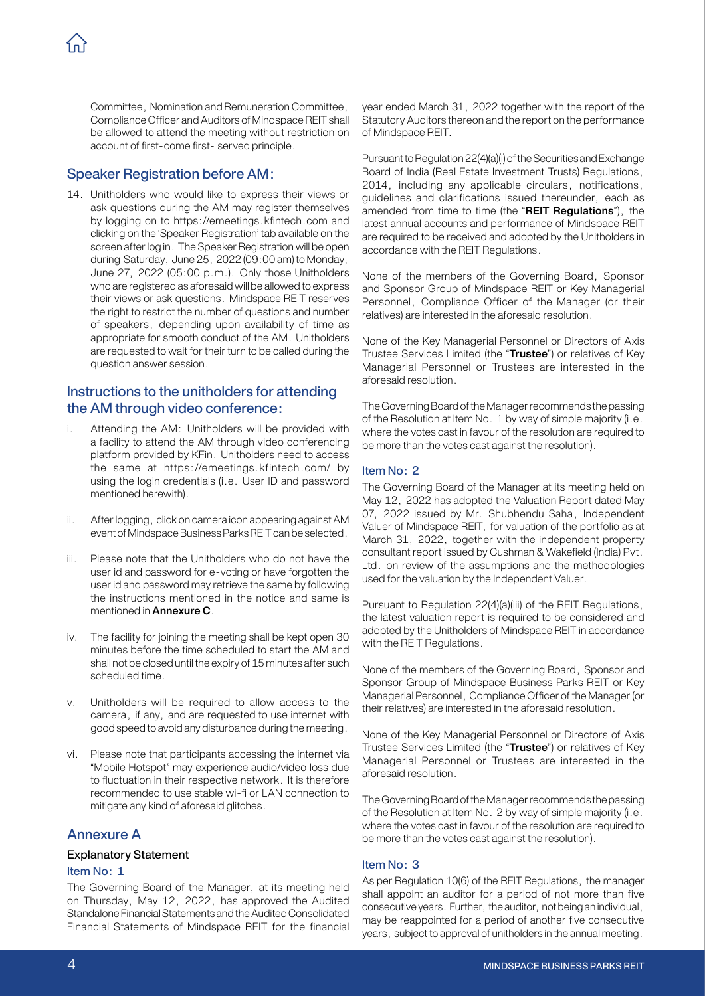Committee, Nomination and Remuneration Committee, Compliance Officer and Auditors of Mindspace REIT shall be allowed to attend the meeting without restriction on account of first-come first- served principle.

## Speaker Registration before AM:

14. Unitholders who would like to express their views or ask questions during the AM may register themselves by logging on to https://emeetings.kfintech.com and clicking on the 'Speaker Registration' tab available on the screen after log in. The Speaker Registration will be open during Saturday, June 25, 2022 (09:00 am) to Monday, June 27, 2022 (05:00 p.m.). Only those Unitholders who are registered as aforesaid will be allowed to express their views or ask questions. Mindspace REIT reserves the right to restrict the number of questions and number of speakers, depending upon availability of time as appropriate for smooth conduct of the AM. Unitholders are requested to wait for their turn to be called during the question answer session.

## Instructions to the unitholders for attending the AM through video conference:

- i. Attending the AM: Unitholders will be provided with a facility to attend the AM through video conferencing platform provided by KFin. Unitholders need to access the same at https://emeetings.kfintech.com/ by using the login credentials (i.e. User ID and password mentioned herewith).
- ii. After logging, click on camera icon appearing against AM event of Mindspace Business Parks REIT can be selected.
- iii. Please note that the Unitholders who do not have the user id and password for e-voting or have forgotten the user id and password may retrieve the same by following the instructions mentioned in the notice and same is mentioned in **Annexure C**.
- iv. The facility for joining the meeting shall be kept open 30 minutes before the time scheduled to start the AM and shall not be closed until the expiry of 15 minutes after such scheduled time.
- v. Unitholders will be required to allow access to the camera, if any, and are requested to use internet with good speed to avoid any disturbance during the meeting.
- vi. Please note that participants accessing the internet via "Mobile Hotspot" may experience audio/video loss due to fluctuation in their respective network. It is therefore recommended to use stable wi-fi or LAN connection to mitigate any kind of aforesaid glitches.

## Annexure A

#### Explanatory Statement

#### Item No: 1

The Governing Board of the Manager, at its meeting held on Thursday, May 12, 2022, has approved the Audited Standalone Financial Statements and the Audited Consolidated Financial Statements of Mindspace REIT for the financial year ended March 31, 2022 together with the report of the Statutory Auditors thereon and the report on the performance of Mindspace REIT.

Pursuant to Regulation 22(4)(a)(i) of the Securities and Exchange Board of India (Real Estate Investment Trusts) Regulations, 2014, including any applicable circulars, notifications, guidelines and clarifications issued thereunder, each as amended from time to time (the "**REIT Regulations**"), the latest annual accounts and performance of Mindspace REIT are required to be received and adopted by the Unitholders in accordance with the REIT Regulations.

None of the members of the Governing Board, Sponsor and Sponsor Group of Mindspace REIT or Key Managerial Personnel, Compliance Officer of the Manager (or their relatives) are interested in the aforesaid resolution.

None of the Key Managerial Personnel or Directors of Axis Trustee Services Limited (the "**Trustee**") or relatives of Key Managerial Personnel or Trustees are interested in the aforesaid resolution.

The Governing Board of the Manager recommends the passing of the Resolution at Item No. 1 by way of simple majority (i.e. where the votes cast in favour of the resolution are required to be more than the votes cast against the resolution).

#### Item No: 2

The Governing Board of the Manager at its meeting held on May 12, 2022 has adopted the Valuation Report dated May 07, 2022 issued by Mr. Shubhendu Saha, Independent Valuer of Mindspace REIT, for valuation of the portfolio as at March 31, 2022, together with the independent property consultant report issued by Cushman & Wakefield (India) Pvt. Ltd. on review of the assumptions and the methodologies used for the valuation by the Independent Valuer.

Pursuant to Regulation 22(4)(a)(iii) of the REIT Regulations, the latest valuation report is required to be considered and adopted by the Unitholders of Mindspace REIT in accordance with the REIT Regulations.

None of the members of the Governing Board, Sponsor and Sponsor Group of Mindspace Business Parks REIT or Key Managerial Personnel, Compliance Officer of the Manager (or their relatives) are interested in the aforesaid resolution.

None of the Key Managerial Personnel or Directors of Axis Trustee Services Limited (the "**Trustee**") or relatives of Key Managerial Personnel or Trustees are interested in the aforesaid resolution.

The Governing Board of the Manager recommends the passing of the Resolution at Item No. 2 by way of simple majority (i.e. where the votes cast in favour of the resolution are required to be more than the votes cast against the resolution).

#### Item No: 3

As per Regulation 10(6) of the REIT Regulations, the manager shall appoint an auditor for a period of not more than five consecutive years. Further, the auditor, not being an individual, may be reappointed for a period of another five consecutive years, subject to approval of unitholders in the annual meeting.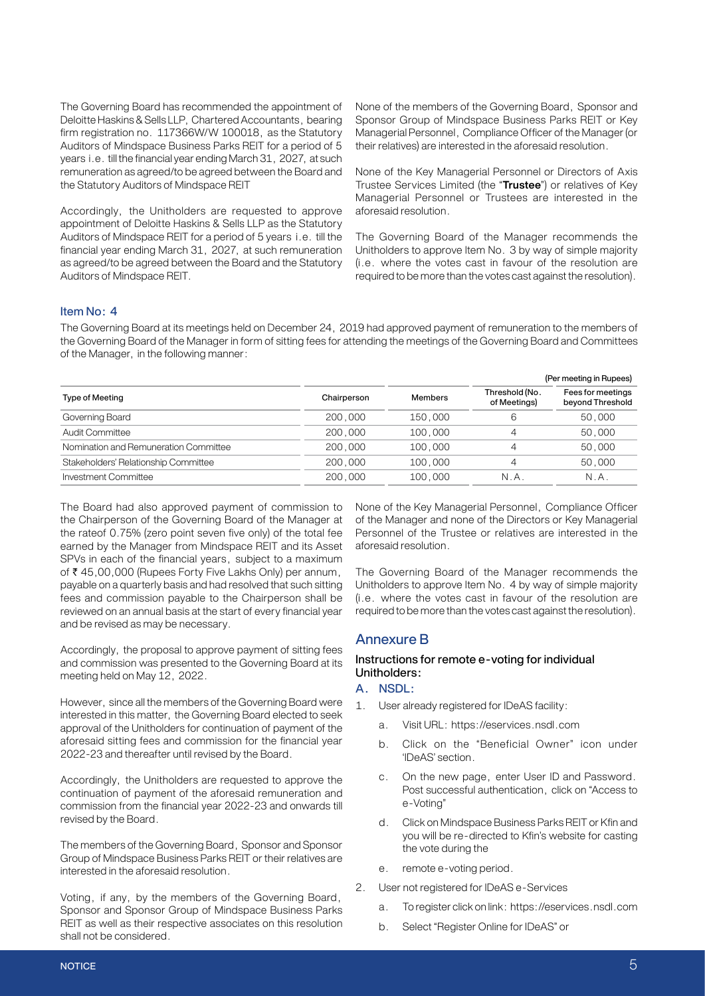The Governing Board has recommended the appointment of Deloitte Haskins & Sells LLP, Chartered Accountants, bearing firm registration no. 117366W/W 100018, as the Statutory Auditors of Mindspace Business Parks REIT for a period of 5 years i.e. till the financial year ending March 31, 2027, at such remuneration as agreed/to be agreed between the Board and the Statutory Auditors of Mindspace REIT

Accordingly, the Unitholders are requested to approve appointment of Deloitte Haskins & Sells LLP as the Statutory Auditors of Mindspace REIT for a period of 5 years i.e. till the financial year ending March 31, 2027, at such remuneration as agreed/to be agreed between the Board and the Statutory Auditors of Mindspace REIT.

None of the members of the Governing Board, Sponsor and Sponsor Group of Mindspace Business Parks REIT or Key Managerial Personnel, Compliance Officer of the Manager (or their relatives) are interested in the aforesaid resolution.

None of the Key Managerial Personnel or Directors of Axis Trustee Services Limited (the "**Trustee**") or relatives of Key Managerial Personnel or Trustees are interested in the aforesaid resolution.

The Governing Board of the Manager recommends the Unitholders to approve Item No. 3 by way of simple majority (i.e. where the votes cast in favour of the resolution are required to be more than the votes cast against the resolution).

#### Item No: 4

The Governing Board at its meetings held on December 24, 2019 had approved payment of remuneration to the members of the Governing Board of the Manager in form of sitting fees for attending the meetings of the Governing Board and Committees of the Manager, in the following manner:

|                                       |             |                | (Per meeting in Rupees)        |                                       |
|---------------------------------------|-------------|----------------|--------------------------------|---------------------------------------|
| Type of Meeting                       | Chairperson | <b>Members</b> | Threshold (No.<br>of Meetings) | Fees for meetings<br>beyond Threshold |
| Governing Board                       | 200,000     | 150,000        | 6                              | 50,000                                |
| Audit Committee                       | 200,000     | 100,000        | 4                              | 50,000                                |
| Nomination and Remuneration Committee | 200,000     | 100,000        | 4                              | 50,000                                |
| Stakeholders' Relationship Committee  | 200,000     | 100,000        | 4                              | 50,000                                |
| Investment Committee                  | 200,000     | 100,000        | N.A                            | N.A.                                  |

The Board had also approved payment of commission to the Chairperson of the Governing Board of the Manager at the rateof 0.75% (zero point seven five only) of the total fee earned by the Manager from Mindspace REIT and its Asset SPVs in each of the financial years, subject to a maximum of ₹ 45,00,000 (Rupees Forty Five Lakhs Only) per annum, payable on a quarterly basis and had resolved that such sitting fees and commission payable to the Chairperson shall be reviewed on an annual basis at the start of every financial year and be revised as may be necessary.

Accordingly, the proposal to approve payment of sitting fees and commission was presented to the Governing Board at its meeting held on May 12, 2022.

However, since all the members of the Governing Board were interested in this matter, the Governing Board elected to seek approval of the Unitholders for continuation of payment of the aforesaid sitting fees and commission for the financial year 2022-23 and thereafter until revised by the Board.

Accordingly, the Unitholders are requested to approve the continuation of payment of the aforesaid remuneration and commission from the financial year 2022-23 and onwards till revised by the Board.

The members of the Governing Board, Sponsor and Sponsor Group of Mindspace Business Parks REIT or their relatives are interested in the aforesaid resolution.

Voting, if any, by the members of the Governing Board, Sponsor and Sponsor Group of Mindspace Business Parks REIT as well as their respective associates on this resolution shall not be considered.

None of the Key Managerial Personnel, Compliance Officer of the Manager and none of the Directors or Key Managerial Personnel of the Trustee or relatives are interested in the aforesaid resolution.

The Governing Board of the Manager recommends the Unitholders to approve Item No. 4 by way of simple majority (i.e. where the votes cast in favour of the resolution are required to be more than the votes cast against the resolution).

#### Annexure B

#### Instructions for remote e-voting for individual Unitholders:

#### A. NSDL:

- 1. User already registered for IDeAS facility:
	- a. Visit URL: https://eservices.nsdl.com
	- b. Click on the "Beneficial Owner" icon under 'IDeAS' section.
	- c. On the new page, enter User ID and Password. Post successful authentication, click on "Access to e-Voting"
	- d. Click on Mindspace Business Parks REIT or Kfin and you will be re-directed to Kfin's website for casting the vote during the
	- e. remote e-voting period.
- 2. User not registered for IDeAS e-Services
	- a. To register click on link: https://eservices.nsdl.com
	- b. Select "Register Online for IDeAS" or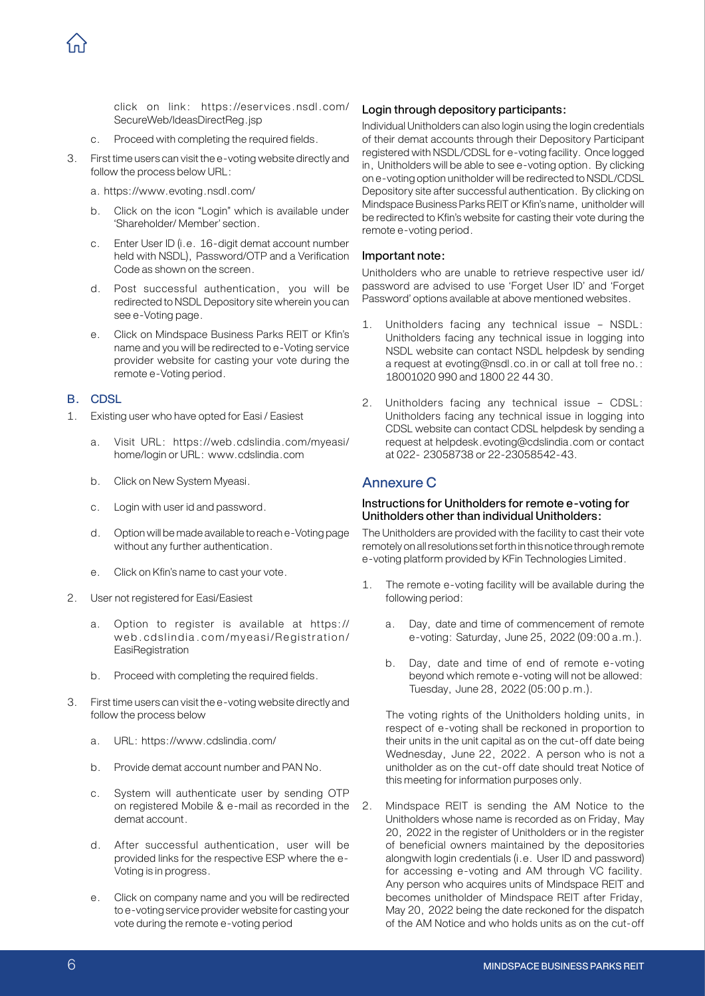click on link: https://eservices.nsdl.com/ SecureWeb/IdeasDirectReg.jsp

- c. Proceed with completing the required fields.
- 3. First time users can visit the e-voting website directly and follow the process below URL:
	- a. https://www.evoting.nsdl.com/
	- b. Click on the icon "Login" which is available under 'Shareholder/ Member' section.
	- c. Enter User ID (i.e. 16-digit demat account number held with NSDL), Password/OTP and a Verification Code as shown on the screen.
	- d. Post successful authentication, you will be redirected to NSDL Depository site wherein you can see e-Voting page.
	- e. Click on Mindspace Business Parks REIT or Kfin's name and you will be redirected to e-Voting service provider website for casting your vote during the remote e-Voting period.

#### B. CDSL

- 1. Existing user who have opted for Easi / Easiest
	- a. Visit URL: https://web.cdslindia.com/myeasi/ home/login or URL: www.cdslindia.com
	- b. Click on New System Myeasi.
	- c. Login with user id and password.
	- d. Option will be made available to reach e-Voting page without any further authentication.
	- e. Click on Kfin's name to cast your vote.
- 2. User not registered for Easi/Easiest
	- a. Option to register is available at https:// web.cdslindia.com/myeasi/Registration/ **EasiRegistration**
	- b. Proceed with completing the required fields.
- 3. First time users can visit the e-voting website directly and follow the process below
	- a. URL: https://www.cdslindia.com/
	- b. Provide demat account number and PAN No.
	- c. System will authenticate user by sending OTP on registered Mobile & e-mail as recorded in the demat account.
	- d. After successful authentication, user will be provided links for the respective ESP where the e-Voting is in progress.
	- e. Click on company name and you will be redirected to e-voting service provider website for casting your vote during the remote e-voting period

#### Login through depository participants:

Individual Unitholders can also login using the login credentials of their demat accounts through their Depository Participant registered with NSDL/CDSL for e-voting facility. Once logged in, Unitholders will be able to see e-voting option. By clicking on e-voting option unitholder will be redirected to NSDL/CDSL Depository site after successful authentication. By clicking on Mindspace Business Parks REIT or Kfin's name, unitholder will be redirected to Kfin's website for casting their vote during the remote e-voting period.

#### Important note:

Unitholders who are unable to retrieve respective user id/ password are advised to use 'Forget User ID' and 'Forget Password' options available at above mentioned websites.

- 1. Unitholders facing any technical issue NSDL: Unitholders facing any technical issue in logging into NSDL website can contact NSDL helpdesk by sending a request at evoting@nsdl.co.in or call at toll free no.: 18001020 990 and 1800 22 44 30.
- 2. Unitholders facing any technical issue CDSL: Unitholders facing any technical issue in logging into CDSL website can contact CDSL helpdesk by sending a request at helpdesk.evoting@cdslindia.com or contact at 022- 23058738 or 22-23058542-43.

#### Annexure C

#### Instructions for Unitholders for remote e-voting for Unitholders other than individual Unitholders:

The Unitholders are provided with the facility to cast their vote remotely on all resolutions set forth in this notice through remote e-voting platform provided by KFin Technologies Limited.

- 1. The remote e-voting facility will be available during the following period:
	- a. Day, date and time of commencement of remote e-voting: Saturday, June 25, 2022 (09:00 a.m.).
	- b. Day, date and time of end of remote e-voting beyond which remote e-voting will not be allowed: Tuesday, June 28, 2022 (05:00 p.m.).

The voting rights of the Unitholders holding units, in respect of e-voting shall be reckoned in proportion to their units in the unit capital as on the cut-off date being Wednesday, June 22, 2022. A person who is not a unitholder as on the cut-off date should treat Notice of this meeting for information purposes only.

2. Mindspace REIT is sending the AM Notice to the Unitholders whose name is recorded as on Friday, May 20, 2022 in the register of Unitholders or in the register of beneficial owners maintained by the depositories alongwith login credentials (i.e. User ID and password) for accessing e-voting and AM through VC facility. Any person who acquires units of Mindspace REIT and becomes unitholder of Mindspace REIT after Friday, May 20, 2022 being the date reckoned for the dispatch of the AM Notice and who holds units as on the cut-off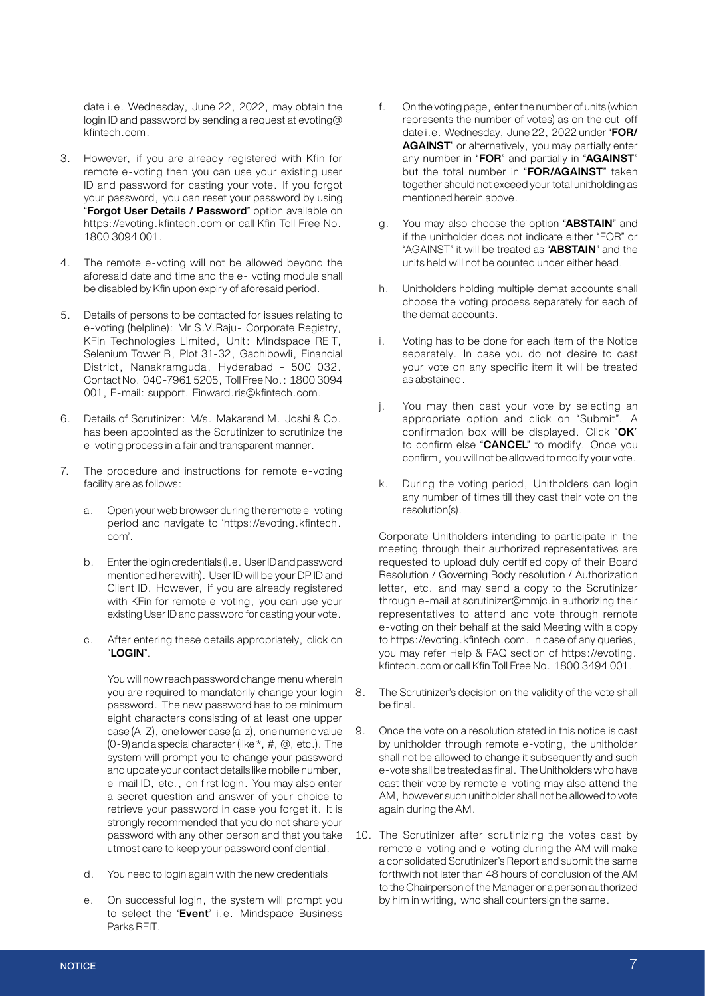date i.e. Wednesday, June 22, 2022, may obtain the login ID and password by sending a request at evoting@ kfintech.com.

- 3. However, if you are already registered with Kfin for remote e-voting then you can use your existing user ID and password for casting your vote. If you forgot your password, you can reset your password by using "**Forgot User Details / Password**" option available on https://evoting.kfintech.com or call Kfin Toll Free No. 1800 3094 001.
- 4. The remote e-voting will not be allowed beyond the aforesaid date and time and the e- voting module shall be disabled by Kfin upon expiry of aforesaid period.
- 5. Details of persons to be contacted for issues relating to e-voting (helpline): Mr S.V.Raju- Corporate Registry, KFin Technologies Limited, Unit: Mindspace REIT, Selenium Tower B, Plot 31-32, Gachibowli, Financial District, Nanakramguda, Hyderabad – 500 032. Contact No. 040-7961 5205, Toll Free No.: 1800 3094 001, E-mail: support. Einward.ris@kfintech.com.
- 6. Details of Scrutinizer: M/s. Makarand M. Joshi & Co. has been appointed as the Scrutinizer to scrutinize the e-voting process in a fair and transparent manner.
- 7. The procedure and instructions for remote e-voting facility are as follows:
	- a. Open your web browser during the remote e-voting period and navigate to 'https://evoting.kfintech. com'.
	- b. Enter the login credentials (i.e. User ID and password mentioned herewith). User ID will be your DP ID and Client ID. However, if you are already registered with KFin for remote e-voting, you can use your existing User ID and password for casting your vote.
	- c. After entering these details appropriately, click on "**LOGIN**".

You will now reach password change menu wherein you are required to mandatorily change your login 8. password. The new password has to be minimum eight characters consisting of at least one upper case (A-Z), one lower case (a-z), one numeric value (0-9) and a special character (like \*, #, @, etc.). The system will prompt you to change your password and update your contact details like mobile number, e-mail ID, etc., on first login. You may also enter a secret question and answer of your choice to retrieve your password in case you forget it. It is strongly recommended that you do not share your password with any other person and that you take utmost care to keep your password confidential.

- d. You need to login again with the new credentials
- e. On successful login, the system will prompt you to select the '**Event**' i.e. Mindspace Business Parks REIT.
- f. On the voting page, enter the number of units (which represents the number of votes) as on the cut-off date i.e. Wednesday, June 22, 2022 under "**FOR/ AGAINST**" or alternatively, you may partially enter any number in "**FOR**" and partially in "**AGAINST**" but the total number in "**FOR/AGAINST**" taken together should not exceed your total unitholding as mentioned herein above.
- g. You may also choose the option "**ABSTAIN**" and if the unitholder does not indicate either "FOR" or "AGAINST" it will be treated as "**ABSTAIN**" and the units held will not be counted under either head.
- h. Unitholders holding multiple demat accounts shall choose the voting process separately for each of the demat accounts.
- i. Voting has to be done for each item of the Notice separately. In case you do not desire to cast your vote on any specific item it will be treated as abstained.
- j. You may then cast your vote by selecting an appropriate option and click on "Submit". A confirmation box will be displayed. Click "**OK**" to confirm else "**CANCEL**" to modify. Once you confirm, you will not be allowed to modify your vote.
- k. During the voting period, Unitholders can login any number of times till they cast their vote on the resolution(s).

Corporate Unitholders intending to participate in the meeting through their authorized representatives are requested to upload duly certified copy of their Board Resolution / Governing Body resolution / Authorization letter, etc. and may send a copy to the Scrutinizer through e-mail at scrutinizer@mmjc.in authorizing their representatives to attend and vote through remote e-voting on their behalf at the said Meeting with a copy to https://evoting.kfintech.com. In case of any queries, you may refer Help & FAQ section of https://evoting. kfintech.com or call Kfin Toll Free No. 1800 3494 001.

- The Scrutinizer's decision on the validity of the vote shall be final.
- 9. Once the vote on a resolution stated in this notice is cast by unitholder through remote e-voting, the unitholder shall not be allowed to change it subsequently and such e-vote shall be treated as final. The Unitholders who have cast their vote by remote e-voting may also attend the AM, however such unitholder shall not be allowed to vote again during the AM.
- 10. The Scrutinizer after scrutinizing the votes cast by remote e-voting and e-voting during the AM will make a consolidated Scrutinizer's Report and submit the same forthwith not later than 48 hours of conclusion of the AM to the Chairperson of the Manager or a person authorized by him in writing, who shall countersign the same.